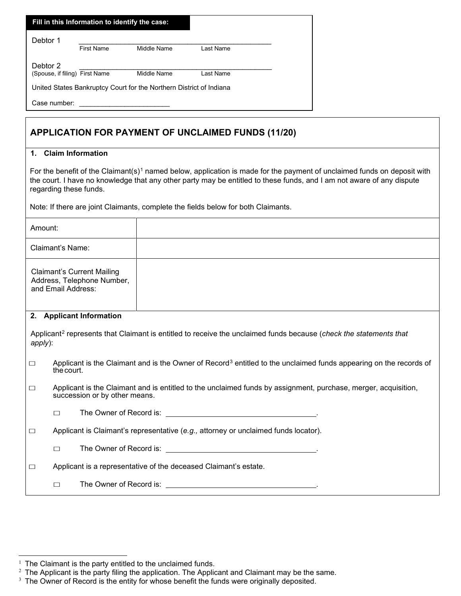| Fill in this Information to identify the case:                      |                   |             |           |  |  |  |
|---------------------------------------------------------------------|-------------------|-------------|-----------|--|--|--|
| Debtor 1                                                            |                   |             |           |  |  |  |
|                                                                     | <b>First Name</b> | Middle Name | Last Name |  |  |  |
| Debtor 2                                                            |                   |             |           |  |  |  |
| (Spouse, if filing) First Name                                      |                   | Middle Name | Last Name |  |  |  |
| United States Bankruptcy Court for the Northern District of Indiana |                   |             |           |  |  |  |
| Case number:                                                        |                   |             |           |  |  |  |

## **APPLICATION FOR PAYMENT OF UNCLAIMED FUNDS (11/20)**

## **1. Claim Information**

For the benefit of the Claimant(s)<sup>[1](#page-0-0)</sup> named below, application is made for the payment of unclaimed funds on deposit with the court. I have no knowledge that any other party may be entitled to these funds, and I am not aware of any dispute regarding these funds.

Note: If there are joint Claimants, complete the fields below for both Claimants.

| Amount:                                                                                                                                     |                                                                                                                                             |                                                                                                                                                 |  |  |  |  |
|---------------------------------------------------------------------------------------------------------------------------------------------|---------------------------------------------------------------------------------------------------------------------------------------------|-------------------------------------------------------------------------------------------------------------------------------------------------|--|--|--|--|
| Claimant's Name:                                                                                                                            |                                                                                                                                             |                                                                                                                                                 |  |  |  |  |
| <b>Claimant's Current Mailing</b><br>Address, Telephone Number,<br>and Email Address:                                                       |                                                                                                                                             |                                                                                                                                                 |  |  |  |  |
| 2. Applicant Information                                                                                                                    |                                                                                                                                             |                                                                                                                                                 |  |  |  |  |
| Applicant <sup>2</sup> represents that Claimant is entitled to receive the unclaimed funds because (check the statements that<br>$apply)$ : |                                                                                                                                             |                                                                                                                                                 |  |  |  |  |
| $\Box$                                                                                                                                      | Applicant is the Claimant and is the Owner of Record <sup>3</sup> entitled to the unclaimed funds appearing on the records of<br>the court. |                                                                                                                                                 |  |  |  |  |
| $\Box$                                                                                                                                      |                                                                                                                                             | Applicant is the Claimant and is entitled to the unclaimed funds by assignment, purchase, merger, acquisition,<br>succession or by other means. |  |  |  |  |
|                                                                                                                                             | П                                                                                                                                           |                                                                                                                                                 |  |  |  |  |
| $\Box$                                                                                                                                      | Applicant is Claimant's representative (e.g., attorney or unclaimed funds locator).                                                         |                                                                                                                                                 |  |  |  |  |
|                                                                                                                                             | $\Box$                                                                                                                                      |                                                                                                                                                 |  |  |  |  |
| $\Box$                                                                                                                                      | Applicant is a representative of the deceased Claimant's estate.                                                                            |                                                                                                                                                 |  |  |  |  |
|                                                                                                                                             | $\Box$                                                                                                                                      |                                                                                                                                                 |  |  |  |  |

<span id="page-0-1"></span><span id="page-0-0"></span>

 $^{\rm 1}$  The Claimant is the party entitled to the unclaimed funds.<br> $^{\rm 2}$  The Applicant is the party filing the application. The Applicant and Claimant may be the same.

<span id="page-0-2"></span> $3$  The Owner of Record is the entity for whose benefit the funds were originally deposited.